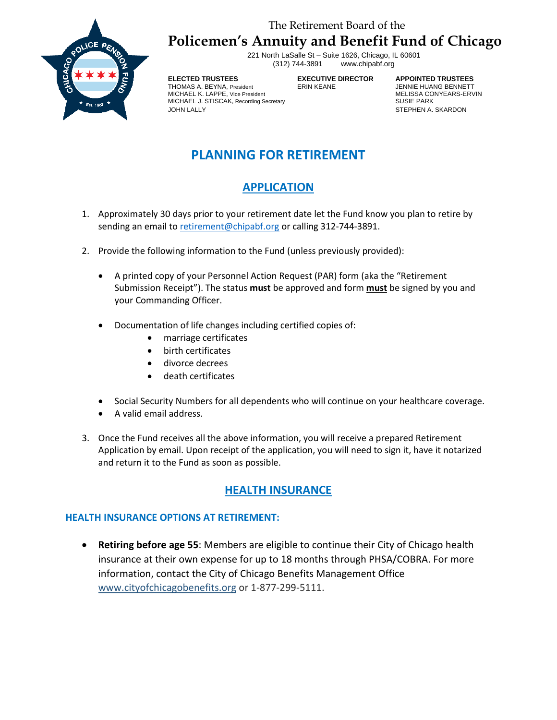## The Retirement Board of the **Policemen's Annuity and Benefit Fund of Chicago**



221 North LaSalle St – Suite 1626, Chicago, IL 60601 www.chipabf.org

#### **ELECTED TRUSTEES EXECUTIVE DIRECTOR APPOINTED TRUSTEES** THOMAS A. BEYNA, President **ERIN KEANE FRINGE ARE A SEANET HEAD** JENNIE HUANG BENNETT<br>MICHAEL K. LAPPE, Vice President MICHAEL K. LAPPE, Vice President MELISSA CONICHAEL STISCAK, Recording Secretary MELISSA CONTERNATION MELISSA CO MICHAEL J. STISCAK, Recording Secretary JOHN LALLY STEPHEN A. SKARDON

# **PLANNING FOR RETIREMENT**

# **APPLICATION**

- 1. Approximately 30 days prior to your retirement date let the Fund know you plan to retire by sending an email to [retirement@chipabf.org](mailto:retirement@chipabf.org) or calling 312-744-3891.
- 2. Provide the following information to the Fund (unless previously provided):
	- A printed copy of your Personnel Action Request (PAR) form (aka the "Retirement Submission Receipt"). The status **must** be approved and form **must** be signed by you and your Commanding Officer.
	- Documentation of life changes including certified copies of:
		- marriage certificates
		- birth certificates
		- divorce decrees
		- death certificates
	- Social Security Numbers for all dependents who will continue on your healthcare coverage.
	- A valid email address.
- 3. Once the Fund receives all the above information, you will receive a prepared Retirement Application by email. Upon receipt of the application, you will need to sign it, have it notarized and return it to the Fund as soon as possible.

## **HEALTH INSURANCE**

## **HEALTH INSURANCE OPTIONS AT RETIREMENT:**

• **Retiring before age 55**: Members are eligible to continue their City of Chicago health insurance at their own expense for up to 18 months through PHSA/COBRA. For more information, contact the City of Chicago Benefits Management Office [www.cityofchicagobenefits.org](http://www.cityofchicagobenefits.org/) or 1-877-299-5111.